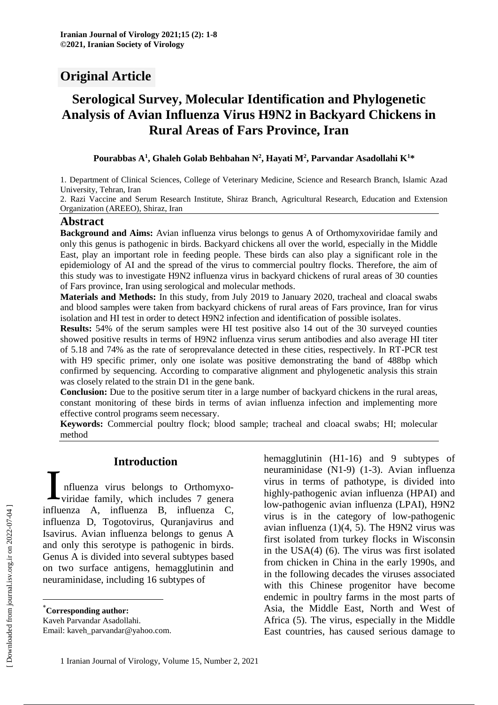# **Original Article**

# **Serological Survey, Molecular Identification and Phylogenetic Analysis of Avian Influenza Virus H9N2 in Backyard Chickens in Rural Areas of Fars Province, Iran**

**Pourabbas A<sup>1</sup> , Ghaleh Golab Behbahan N<sup>2</sup> , Hayati M<sup>2</sup> , Parvandar Asadollahi K<sup>1</sup>\***

1. Department of Clinical Sciences, College of Veterinary Medicine, Science and Research Branch, Islamic Azad University, Tehran, Iran

2. Razi Vaccine and Serum Research Institute, Shiraz Branch, Agricultural Research, Education and Extension Organization (AREEO), Shiraz, Iran

#### **Abstract**

**Background and Aims:** Avian influenza virus belongs to genus A of Orthomyxoviridae family and only this genus is pathogenic in birds. Backyard chickens all over the world, especially in the Middle East, play an important role in feeding people. These birds can also play a significant role in the epidemiology of AI and the spread of the virus to commercial poultry flocks. Therefore, the aim of this study was to investigate H9N2 influenza virus in backyard chickens of rural areas of 30 counties of Fars province, Iran using serological and molecular methods.

**Materials and Methods:** In this study, from July 2019 to January 2020, tracheal and cloacal swabs and blood samples were taken from backyard chickens of rural areas of Fars province, Iran for virus isolation and HI test in order to detect H9N2 infection and identification of possible isolates.

**Results:** 54% of the serum samples were HI test positive also 14 out of the 30 surveyed counties showed positive results in terms of H9N2 influenza virus serum antibodies and also average HI titer of 5.18 and 74% as the rate of seroprevalance detected in these cities, respectively. In RT-PCR test with H9 specific primer, only one isolate was positive demonstrating the band of 488bp which confirmed by sequencing. According to comparative alignment and phylogenetic analysis this strain was closely related to the strain D1 in the gene bank.

**Conclusion:** Due to the positive serum titer in a large number of backyard chickens in the rural areas, constant monitoring of these birds in terms of avian influenza infection and implementing more effective control programs seem necessary.

**Keywords:** Commercial poultry flock; blood sample; tracheal and cloacal swabs; HI; molecular method

## **Introduction\***

nfluenza virus belongs to Orthomyxoviridae family, which includes 7 genera Introduction<br>
Influenza virus belongs to Orthomyxo-<br>
viridae family, which includes 7 genera<br>
influenza A, influenza B, influenza C, influenza D, Togotovirus, Quranjavirus and Isavirus. Avian influenza belongs to genus A and only this serotype is pathogenic in birds. Genus A is divided into several subtypes based on two surface antigens, hemagglutinin and neuraminidase, including 16 subtypes of

Kaveh Parvandar Asadollahi.

Email: kaveh\_parvandar@yahoo.com.

hemagglutinin (H1-16) and 9 subtypes of neuraminidase (N1-9) (1-3). Avian influenza virus in terms of pathotype, is divided into highly-pathogenic avian influenza (HPAI) and low-pathogenic avian influenza (LPAI), H9N2 virus is in the category of low-pathogenic avian influenza  $(1)(4, 5)$ . The H9N2 virus was first isolated from turkey flocks in Wisconsin in the USA(4) (6). The virus was first isolated from chicken in China in the early 1990s, and in the following decades the viruses associated with this Chinese progenitor have become endemic in poultry farms in the most parts of Asia, the Middle East, North and West of Africa (5). The virus, especially in the Middle East countries, has caused serious damage to

 $\overline{a}$ 

<sup>\*</sup>**Corresponding author:**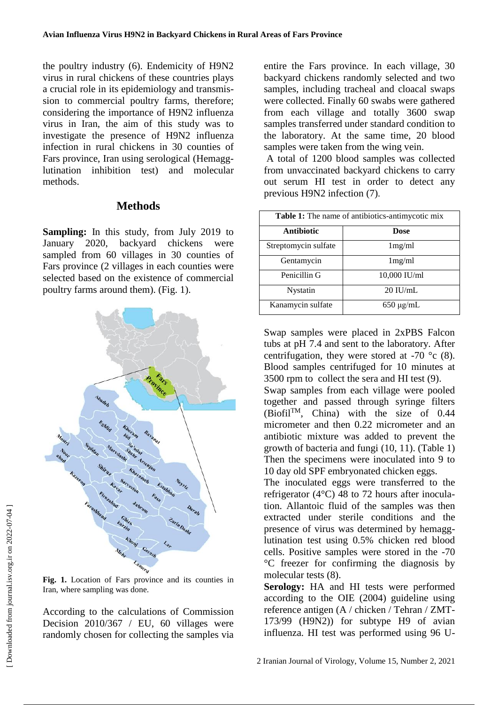the poultry industry (6). Endemicity of H9N2 virus in rural chickens of these countries plays a crucial role in its epidemiology and transmission to commercial poultry farms, therefore; considering the importance of H9N2 influenza virus in Iran, the aim of this study was to investigate the presence of H9N2 influenza infection in rural chickens in 30 counties of Fars province, Iran using serological (Hemagglutination inhibition test) and molecular methods.

### **Methods**

**Sampling:** In this study, from July 2019 to January 2020, backyard chickens were sampled from 60 villages in 30 counties of Fars province (2 villages in each counties were selected based on the existence of commercial poultry farms around them). (Fig. 1).



**Fig. 1.** Location of Fars province and its counties in Iran, where sampling was done.

According to the calculations of Commission Decision 2010/367 / EU, 60 villages were randomly chosen for collecting the samples via entire the Fars province. In each village, 30 backyard chickens randomly selected and two samples, including tracheal and cloacal swaps were collected. Finally 60 swabs were gathered from each village and totally 3600 swap samples transferred under standard condition to the laboratory. At the same time, 20 blood samples were taken from the wing vein.

A total of 1200 blood samples was collected from unvaccinated backyard chickens to carry out serum HI test in order to detect any previous H9N2 infection (7).

| <b>Table 1:</b> The name of antibiotics-antimycotic mix |                |
|---------------------------------------------------------|----------------|
| <b>Antibiotic</b>                                       | Dose           |
| Streptomycin sulfate                                    | 1mg/ml         |
| Gentamycin                                              | 1mg/ml         |
| Penicillin G                                            | 10,000 IU/ml   |
| <b>Nystatin</b>                                         | $20$ IU/mL     |
| Kanamycin sulfate                                       | $650 \mu g/mL$ |

Swap samples were placed in 2xPBS Falcon tubs at pH 7.4 and sent to the laboratory. After centrifugation, they were stored at -70  $\degree$ c (8). Blood samples centrifuged for 10 minutes at 3500 rpm to collect the sera and HI test (9).

Swap samples from each village were pooled together and passed through syringe filters  $(Biofil<sup>TM</sup>, China)$  with the size of 0.44 micrometer and then 0.22 micrometer and an antibiotic mixture was added to prevent the growth of bacteria and fungi (10, 11). (Table 1) Then the specimens were inoculated into 9 to 10 day old SPF embryonated chicken eggs.

The inoculated eggs were transferred to the refrigerator (4°C) 48 to 72 hours after inoculation. Allantoic fluid of the samples was then extracted under sterile conditions and the presence of virus was determined by hemagglutination test using 0.5% chicken red blood cells. Positive samples were stored in the -70 °C freezer for confirming the diagnosis by molecular tests (8).

**Serology:** HA and HI tests were performed according to the OIE (2004) guideline using reference antigen (A / chicken / Tehran / ZMT-173/99 (H9N2)) for subtype H9 of avian influenza. HI test was performed using 96 U-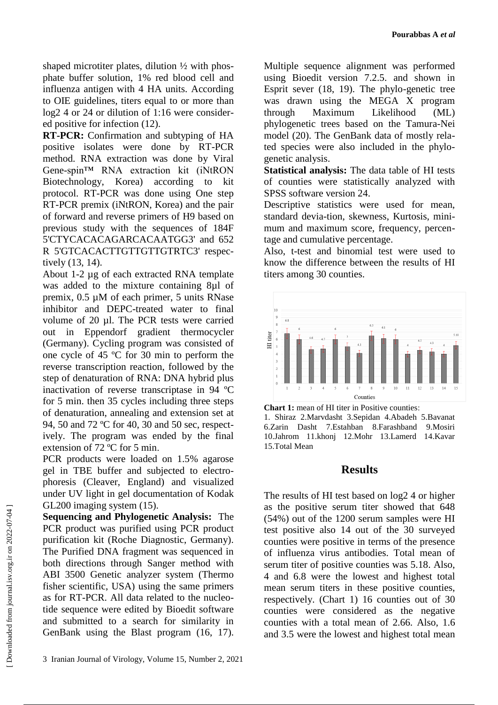shaped microtiter plates, dilution  $\frac{1}{2}$  with phosphate buffer solution, 1% red blood cell and influenza antigen with 4 HA units. According to OIE guidelines, titers equal to or more than log2 4 or 24 or dilution of 1:16 were considered positive for infection (12).

**RT-PCR:** Confirmation and subtyping of HA positive isolates were done by RT-PCR method. RNA extraction was done by Viral Gene-spin™ RNA extraction kit (iNtRON Biotechnology, Korea) according to kit protocol. RT-PCR was done using One step RT-PCR premix (iNtRON, Korea) and the pair of forward and reverse primers of H9 based on previous study with the sequences of 184F 5'CTYCACACAGARCACAATGG3' and 652 R 5'GTCACACTTGTTGTTGTRTC3' respectively (13, 14).

About 1-2 µg of each extracted RNA template was added to the mixture containing 8µl of premix, 0.5 µM of each primer, 5 units RNase inhibitor and DEPC-treated water to final volume of 20 µl. The PCR tests were carried out in Eppendorf gradient thermocycler (Germany). Cycling program was consisted of one cycle of 45 ºC for 30 min to perform the reverse transcription reaction, followed by the step of denaturation of RNA: DNA hybrid plus inactivation of reverse transcriptase in 94 ºC for 5 min. then 35 cycles including three steps of denaturation, annealing and extension set at 94, 50 and 72 ºC for 40, 30 and 50 sec, respectively. The program was ended by the final extension of 72 ºC for 5 min.

PCR products were loaded on 1.5% agarose gel in TBE buffer and subjected to electrophoresis (Cleaver, England) and visualized under UV light in gel documentation of Kodak GL200 imaging system (15).

**Sequencing and Phylogenetic Analysis:** The PCR product was purified using PCR product purification kit (Roche Diagnostic, Germany). The Purified DNA fragment was sequenced in both directions through Sanger method with ABI 3500 Genetic analyzer system (Thermo fisher scientific, USA) using the same primers as for RT-PCR. All data related to the nucleotide sequence were edited by Bioedit software and submitted to a search for similarity in GenBank using the Blast program (16, 17).

3 Iranian Journal of Virology, Volume 15, Number 2, 2021

Multiple sequence alignment was performed using Bioedit version 7.2.5. and shown in Esprit sever (18, 19). The phylo-genetic tree was drawn using the MEGA X program through Maximum Likelihood (ML) phylogenetic trees based on the Tamura-Nei model (20). The GenBank data of mostly related species were also included in the phylogenetic analysis.

**Statistical analysis:** The data table of HI tests of counties were statistically analyzed with SPSS software version 24.

Descriptive statistics were used for mean, standard devia-tion, skewness, Kurtosis, minimum and maximum score, frequency, percentage and cumulative percentage.

Also, t-test and binomial test were used to know the difference between the results of HI titers among 30 counties.



**Chart 1:** mean of HI titer in Positive counties: 1. Shiraz 2.Marvdasht 3.Sepidan 4.Abadeh 5.Bavanat 6.Zarin Dasht 7.Estahban 8.Farashband 9.Mosiri 10.Jahrom 11.khonj 12.Mohr 13.Lamerd 14.Kavar 15.Total Mean

#### **Results**

The results of HI test based on log2 4 or higher as the positive serum titer showed that 648 (54%) out of the 1200 serum samples were HI test positive also 14 out of the 30 surveyed counties were positive in terms of the presence of influenza virus antibodies. Total mean of serum titer of positive counties was 5.18. Also, 4 and 6.8 were the lowest and highest total mean serum titers in these positive counties, respectively. (Chart 1) 16 counties out of 30 counties were considered as the negative counties with a total mean of 2.66. Also, 1.6 and 3.5 were the lowest and highest total mean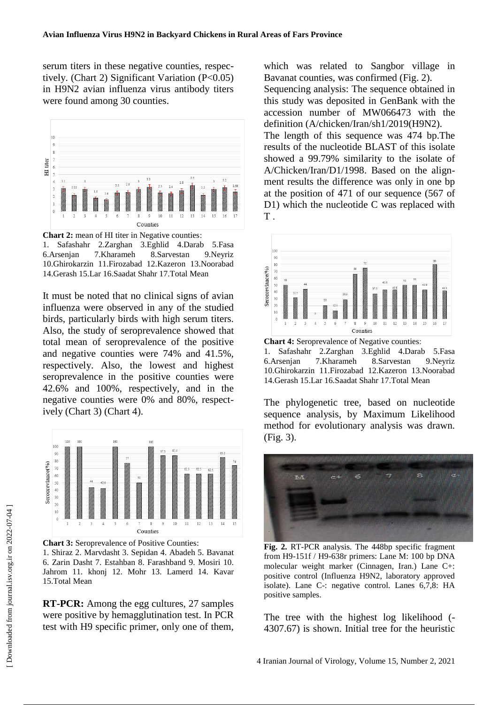serum titers in these negative counties, respectively. (Chart 2) Significant Variation (P<0.05) in H9N2 avian influenza virus antibody titers were found among 30 counties.



**Chart 2:** mean of HI titer in Negative counties: 1. Safashahr 2.Zarghan 3.Eghlid 4.Darab 5.Fasa 6.Arsenjan 7.Kharameh 8.Sarvestan 9.Neyriz 10.Ghirokarzin 11.Firozabad 12.Kazeron 13.Noorabad 14.Gerash 15.Lar 16.Saadat Shahr 17.Total Mean

It must be noted that no clinical signs of avian influenza were observed in any of the studied birds, particularly birds with high serum titers. Also, the study of seroprevalence showed that total mean of seroprevalence of the positive and negative counties were 74% and 41.5%, respectively. Also, the lowest and highest seroprevalence in the positive counties were 42.6% and 100%, respectively, and in the negative counties were 0% and 80%, respectively (Chart 3) (Chart 4).



**Chart 3:** Seroprevalence of Positive Counties: 1. Shiraz 2. Marvdasht 3. Sepidan 4. Abadeh 5. Bavanat 6. Zarin Dasht 7. Estahban 8. Farashband 9. Mosiri 10. Jahrom 11. khonj 12. Mohr 13. Lamerd 14. Kavar 15.Total Mean

**RT-PCR:** Among the egg cultures, 27 samples were positive by hemagglutination test. In PCR test with H9 specific primer, only one of them, which was related to Sangbor village in Bavanat counties, was confirmed (Fig. 2).

Sequencing analysis: The sequence obtained in this study was deposited in GenBank with the accession number of MW066473 with the definition (A/chicken/Iran/sh1/2019(H9N2).

The length of this sequence was 474 bp.The results of the nucleotide BLAST of this isolate showed a 99.79% similarity to the isolate of A/Chicken/Iran/D1/1998. Based on the alignment results the difference was only in one bp at the position of 471 of our sequence (567 of D1) which the nucleotide C was replaced with  $T$ .



**Chart 4:** Seroprevalence of Negative counties: 1. Safashahr 2.Zarghan 3.Eghlid 4.Darab 5.Fasa 6.Arsenjan 7.Kharameh 8.Sarvestan 9.Neyriz 10.Ghirokarzin 11.Firozabad 12.Kazeron 13.Noorabad 14.Gerash 15.Lar 16.Saadat Shahr 17.Total Mean

The phylogenetic tree, based on nucleotide sequence analysis, by Maximum Likelihood method for evolutionary analysis was drawn. (Fig. 3).



**Fig. 2.** RT-PCR analysis. The 448bp specific fragment from H9-151f / H9-638r primers: Lane M: 100 bp DNA molecular weight marker (Cinnagen, Iran.) Lane C+: positive control (Influenza H9N2, laboratory approved isolate). Lane C-: negative control. Lanes 6,7,8: HA positive samples.

The tree with the highest log likelihood (- 4307.67) is shown. Initial tree for the heuristic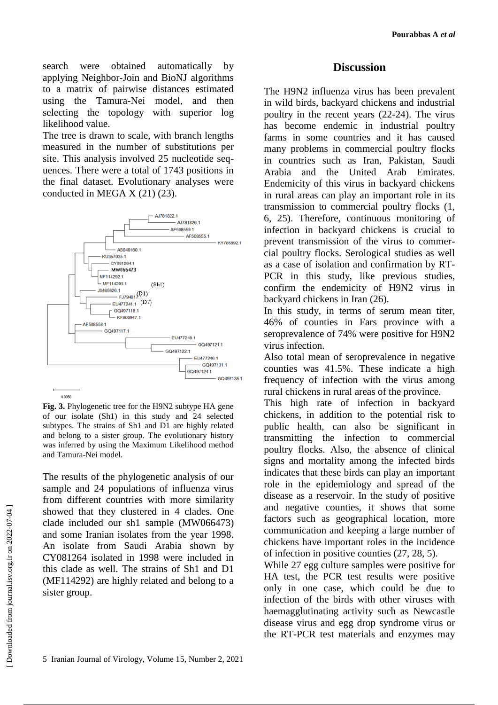search were obtained automatically by applying Neighbor-Join and BioNJ algorithms to a matrix of pairwise distances estimated using the Tamura-Nei model, and then selecting the topology with superior log likelihood value.

The tree is drawn to scale, with branch lengths measured in the number of substitutions per site. This analysis involved 25 nucleotide sequences. There were a total of 1743 positions in the final dataset. Evolutionary analyses were conducted in MEGA X (21) (23).



**Fig. 3.** Phylogenetic tree for the H9N2 subtype HA gene of our isolate (Sh1) in this study and 24 selected subtypes. The strains of Sh1 and D1 are highly related and belong to a sister group. The evolutionary history was inferred by using the Maximum Likelihood method and Tamura-Nei model.

The results of the phylogenetic analysis of our sample and 24 populations of influenza virus from different countries with more similarity showed that they clustered in 4 clades. One clade included our sh1 sample (MW066473) and some Iranian isolates from the year 1998. An isolate from Saudi Arabia shown by CY081264 isolated in 1998 were included in this clade as well. The strains of Sh1 and D1 (MF114292) are highly related and belong to a sister group.

### **Discussion**

The H9N2 influenza virus has been prevalent in wild birds, backyard chickens and industrial poultry in the recent years (22-24). The virus has become endemic in industrial poultry farms in some countries and it has caused many problems in commercial poultry flocks in countries such as Iran, Pakistan, Saudi Arabia and the United Arab Emirates. Endemicity of this virus in backyard chickens in rural areas can play an important role in its transmission to commercial poultry flocks (1, 6, 25). Therefore, continuous monitoring of infection in backyard chickens is crucial to prevent transmission of the virus to commercial poultry flocks. Serological studies as well as a case of isolation and confirmation by RT-PCR in this study, like previous studies, confirm the endemicity of H9N2 virus in backyard chickens in Iran (26).

In this study, in terms of serum mean titer, 46% of counties in Fars province with a seroprevalence of 74% were positive for H9N2 virus infection.

Also total mean of seroprevalence in negative counties was 41.5%. These indicate a high frequency of infection with the virus among rural chickens in rural areas of the province.

This high rate of infection in backyard chickens, in addition to the potential risk to public health, can also be significant in transmitting the infection to commercial poultry flocks. Also, the absence of clinical signs and mortality among the infected birds indicates that these birds can play an important role in the epidemiology and spread of the disease as a reservoir. In the study of positive and negative counties, it shows that some factors such as geographical location, more communication and keeping a large number of chickens have important roles in the incidence of infection in positive counties (27, 28, 5).

While 27 egg culture samples were positive for HA test, the PCR test results were positive only in one case, which could be due to infection of the birds with other viruses with haemagglutinating activity such as Newcastle disease virus and egg drop syndrome virus or the RT-PCR test materials and enzymes may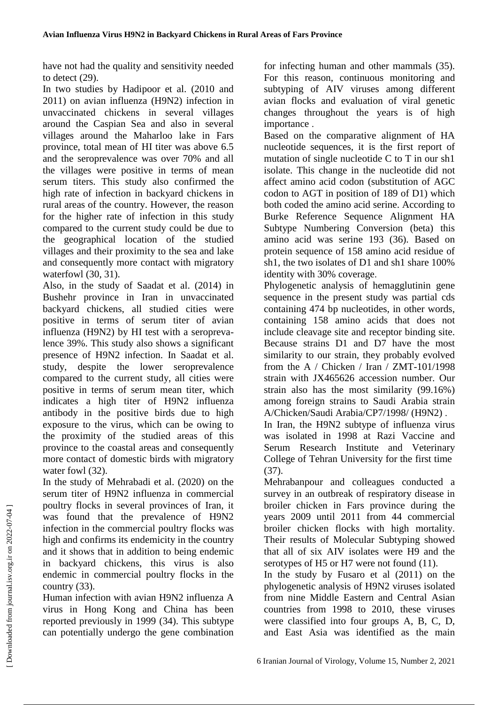have not had the quality and sensitivity needed to detect (29).

In two studies by Hadipoor et al. (2010 and 2011) on avian influenza (H9N2) infection in unvaccinated chickens in several villages around the Caspian Sea and also in several villages around the Maharloo lake in Fars province, total mean of HI titer was above 6.5 and the seroprevalence was over 70% and all the villages were positive in terms of mean serum titers. This study also confirmed the high rate of infection in backyard chickens in rural areas of the country. However, the reason for the higher rate of infection in this study compared to the current study could be due to the geographical location of the studied villages and their proximity to the sea and lake and consequently more contact with migratory waterfowl (30, 31).

Also, in the study of Saadat et al. (2014) in Bushehr province in Iran in unvaccinated backyard chickens, all studied cities were positive in terms of serum titer of avian influenza (H9N2) by HI test with a seroprevalence 39%. This study also shows a significant presence of H9N2 infection. In Saadat et al. study, despite the lower seroprevalence compared to the current study, all cities were positive in terms of serum mean titer, which indicates a high titer of H9N2 influenza antibody in the positive birds due to high exposure to the virus, which can be owing to the proximity of the studied areas of this province to the coastal areas and consequently more contact of domestic birds with migratory water fowl  $(32)$ .

In the study of Mehrabadi et al. (2020) on the serum titer of H9N2 influenza in commercial poultry flocks in several provinces of Iran, it was found that the prevalence of H9N2 infection in the commercial poultry flocks was high and confirms its endemicity in the country and it shows that in addition to being endemic in backyard chickens, this virus is also endemic in commercial poultry flocks in the country (33).

Human infection with avian H9N2 influenza A virus in Hong Kong and China has been reported previously in 1999 (34). This subtype can potentially undergo the gene combination

for infecting human and other mammals (35). For this reason, continuous monitoring and subtyping of AIV viruses among different avian flocks and evaluation of viral genetic changes throughout the years is of high importance .

Based on the comparative alignment of HA nucleotide sequences, it is the first report of mutation of single nucleotide C to T in our sh1 isolate. This change in the nucleotide did not affect amino acid codon (substitution of AGC codon to AGT in position of 189 of D1) which both coded the amino acid serine. According to Burke Reference Sequence Alignment HA Subtype Numbering Conversion (beta) this amino acid was serine 193 (36). Based on protein sequence of 158 amino acid residue of sh1, the two isolates of D1 and sh1 share 100% identity with 30% coverage.

Phylogenetic analysis of hemagglutinin gene sequence in the present study was partial cds containing 474 bp nucleotides, in other words, containing 158 amino acids that does not include cleavage site and receptor binding site. Because strains D1 and D7 have the most similarity to our strain, they probably evolved from the A / Chicken / Iran /  $ZMT-101/1998$ strain with JX465626 accession number. Our strain also has the most similarity (99.16%) among foreign strains to Saudi Arabia strain A/Chicken/Saudi Arabia/CP7/1998/ (H9N2) .

In Iran, the H9N2 subtype of influenza virus was isolated in 1998 at Razi Vaccine and Serum Research Institute and Veterinary College of Tehran University for the first time (37).

Mehrabanpour and colleagues conducted a survey in an outbreak of respiratory disease in broiler chicken in Fars province during the years 2009 until 2011 from 44 commercial broiler chicken flocks with high mortality. Their results of Molecular Subtyping showed that all of six AIV isolates were H9 and the serotypes of H5 or H7 were not found (11).

In the study by Fusaro et al (2011) on the phylogenetic analysis of H9N2 viruses isolated from nine Middle Eastern and Central Asian countries from 1998 to 2010, these viruses were classified into four groups A, B, C, D, and East Asia was identified as the main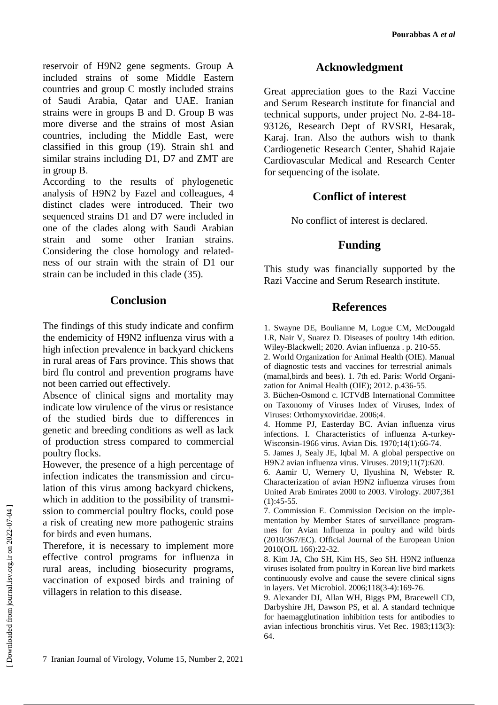**Pourabbas A** *et al*

reservoir of H9N2 gene segments. Group A included strains of some Middle Eastern countries and group C mostly included strains of Saudi Arabia, Qatar and UAE. Iranian strains were in groups B and D. Group B was more diverse and the strains of most Asian countries, including the Middle East, were classified in this group (19). Strain sh1 and similar strains including D1, D7 and ZMT are in group B.

According to the results of phylogenetic analysis of H9N2 by Fazel and colleagues, 4 distinct clades were introduced. Their two sequenced strains D1 and D7 were included in one of the clades along with Saudi Arabian strain and some other Iranian strains. Considering the close homology and relatedness of our strain with the strain of D1 our strain can be included in this clade (35).

# **Conclusion**

The findings of this study indicate and confirm the endemicity of H9N2 influenza virus with a high infection prevalence in backyard chickens in rural areas of Fars province. This shows that bird flu control and prevention programs have not been carried out effectively.

Absence of clinical signs and mortality may indicate low virulence of the virus or resistance of the studied birds due to differences in genetic and breeding conditions as well as lack of production stress compared to commercial poultry flocks.

However, the presence of a high percentage of infection indicates the transmission and circulation of this virus among backyard chickens, which in addition to the possibility of transmission to commercial poultry flocks, could pose a risk of creating new more pathogenic strains for birds and even humans.

Therefore, it is necessary to implement more effective control programs for influenza in rural areas, including biosecurity programs, vaccination of exposed birds and training of villagers in relation to this disease.

### **Acknowledgment**

Great appreciation goes to the Razi Vaccine and Serum Research institute for financial and technical supports, under project No. 2-84-18- 93126, Research Dept of RVSRI, Hesarak, Karaj. Iran. Also the authors wish to thank Cardiogenetic Research Center, Shahid Rajaie Cardiovascular Medical and Research Center for sequencing of the isolate.

## **Conflict of interest**

No conflict of interest is declared.

# **Funding**

This study was financially supported by the Razi Vaccine and Serum Research institute.

#### **References**

1. Swayne DE, Boulianne M, Logue CM, McDougald LR, Nair V, Suarez D. Diseases of poultry 14th edition. Wiley-Blackwell; 2020. Avian influenza . p. 210-55.

2. World Organization for Animal Health (OIE). Manual of diagnostic tests and vaccines for terrestrial animals (mamal,birds and bees). 1. 7th ed. Paris: World Organization for Animal Health (OIE); 2012. p.436-55.

3. Büchen-Osmond c. ICTVdB International Committee on Taxonomy of Viruses Index of Viruses, Index of Viruses: Orthomyxoviridae. 2006;4.

4. Homme PJ, Easterday BC. Avian influenza virus infections. I. Characteristics of influenza A-turkey-Wisconsin-1966 virus. Avian Dis. 1970;14(1):66-74.

5. James J, Sealy JE, Iqbal M. A global perspective on H9N2 avian influenza virus. Viruses. 2019;11(7):620.

6. Aamir U, Wernery U, Ilyushina N, Webster R. Characterization of avian H9N2 influenza viruses from United Arab Emirates 2000 to 2003. Virology. 2007;361  $(1):45-55.$ 

7. Commission E. Commission Decision on the implementation by Member States of surveillance programmes for Avian Influenza in poultry and wild birds (2010/367/EC). Official Journal of the European Union 2010(OJL 166):22-32.

8. Kim JA, Cho SH, Kim HS, Seo SH. H9N2 influenza viruses isolated from poultry in Korean live bird markets continuously evolve and cause the severe clinical signs in layers. Vet Microbiol. 2006;118(3-4):169-76.

9. Alexander DJ, Allan WH, Biggs PM, Bracewell CD, Darbyshire JH, Dawson PS, et al. A standard technique for haemagglutination inhibition tests for antibodies to avian infectious bronchitis virus. Vet Rec. 1983;113(3): 64.